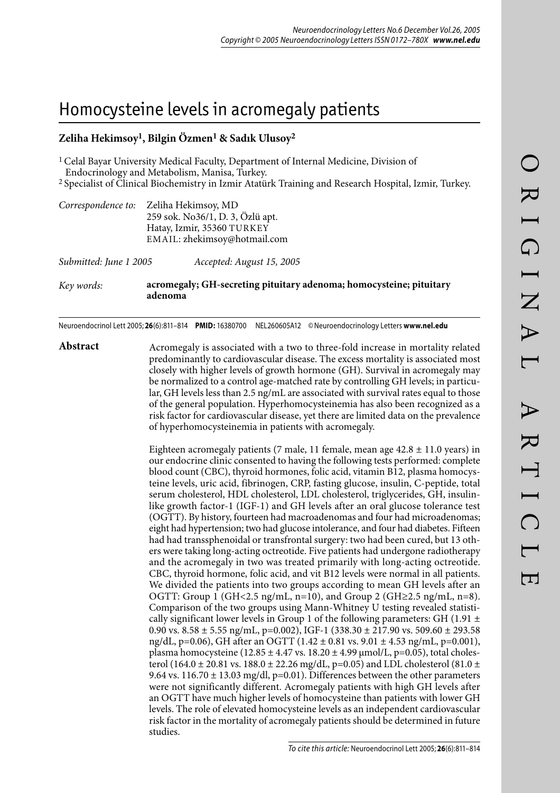# Homocysteine levels in acromegaly patients

# **Zeliha Hekimsoy1, Bilgin Özmen1 & Sadık Ulusoy2**

1 Celal Bayar University Medical Faculty, Department of Internal Medicine, Division of Endocrinology and Metabolism, Manisa, Turkey.

2 Specialist of Clinical Biochemistry in Izmir Atatürk Training and Research Hospital, Izmir, Turkey.

| Correspondence to: Zeliha Hekimsoy, MD |
|----------------------------------------|
| 259 sok. No36/1, D. 3, Özlü apt.       |
| Hatay, Izmir, 35360 TURKEY             |
| EMAIL: zhekimsoy@hotmail.com           |
|                                        |

*Submitted: June 1 2005 Accepted: August 15, 2005*

*Key words:* **acromegaly; GH-secreting pituitary adenoma; homocysteine; pituitary adenoma**

Neuroendocrinol Lett 2005; **26**(6):811–814 **PMID:** 16380700 NEL260605A12 © Neuroendocrinology Letters **www.nel.edu**

**Abstract** Acromegaly is associated with a two to three-fold increase in mortality related predominantly to cardiovascular disease. The excess mortality is associated most closely with higher levels of growth hormone (GH). Survival in acromegaly may be normalized to a control age-matched rate by controlling GH levels; in particular, GH levels less than 2.5 ng/mL are associated with survival rates equal to those of the general population. Hyperhomocysteinemia has also been recognized as a risk factor for cardiovascular disease, yet there are limited data on the prevalence of hyperhomocysteinemia in patients with acromegaly.

> Eighteen acromegaly patients (7 male, 11 female, mean age  $42.8 \pm 11.0$  years) in our endocrine clinic consented to having the following tests performed: complete blood count (CBC), thyroid hormones, folic acid, vitamin B12, plasma homocysteine levels, uric acid, fibrinogen, CRP, fasting glucose, insulin, C-peptide, total serum cholesterol, HDL cholesterol, LDL cholesterol, triglycerides, GH, insulinlike growth factor-1 (IGF-1) and GH levels after an oral glucose tolerance test (OGTT). By history, fourteen had macroadenomas and four had microadenomas; eight had hypertension; two had glucose intolerance, and four had diabetes. Fifteen had had transsphenoidal or transfrontal surgery: two had been cured, but 13 others were taking long-acting octreotide. Five patients had undergone radiotherapy and the acromegaly in two was treated primarily with long-acting octreotide. CBC, thyroid hormone, folic acid, and vit B12 levels were normal in all patients. We divided the patients into two groups according to mean GH levels after an OGTT: Group 1 (GH<2.5 ng/mL, n=10), and Group 2 (GH≥2.5 ng/mL, n=8). Comparison of the two groups using Mann-Whitney U testing revealed statistically significant lower levels in Group 1 of the following parameters: GH (1.91  $\pm$ 0.90 vs.  $8.58 \pm 5.55$  ng/mL, p=0.002), IGF-1 (338.30  $\pm$  217.90 vs. 509.60  $\pm$  293.58 ng/dL, p=0.06), GH after an OGTT  $(1.42 \pm 0.81 \text{ vs. } 9.01 \pm 4.53 \text{ ng/mL}, \text{p=0.001}),$ plasma homocysteine (12.85  $\pm$  4.47 vs. 18.20  $\pm$  4.99  $\mu$ mol/L, p=0.05), total cholesterol (164.0 ± 20.81 vs. 188.0 ± 22.26 mg/dL, p=0.05) and LDL cholesterol (81.0 ± 9.64 vs. 116.70  $\pm$  13.03 mg/dl, p=0.01). Differences between the other parameters were not significantly different. Acromegaly patients with high GH levels after an OGTT have much higher levels of homocysteine than patients with lower GH levels. The role of elevated homocysteine levels as an independent cardiovascular risk factor in the mortality of acromegaly patients should be determined in future studies.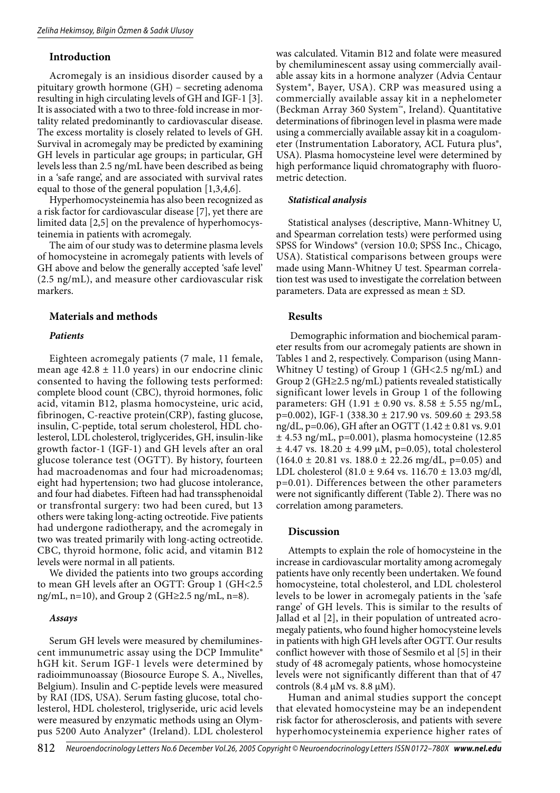# **Introduction**

Acromegaly is an insidious disorder caused by a pituitary growth hormone (GH) – secreting adenoma resulting in high circulating levels of GH and IGF-1 [3]. It is associated with a two to three-fold increase in mortality related predominantly to cardiovascular disease. The excess mortality is closely related to levels of GH. Survival in acromegaly may be predicted by examining GH levels in particular age groups; in particular, GH levels less than 2.5 ng/mL have been described as being in a 'safe range', and are associated with survival rates equal to those of the general population [1,3,4,6].

Hyperhomocysteinemia has also been recognized as a risk factor for cardiovascular disease [7], yet there are limited data [2,5] on the prevalence of hyperhomocysteinemia in patients with acromegaly.

The aim of our study was to determine plasma levels of homocysteine in acromegaly patients with levels of GH above and below the generally accepted 'safe level' (2.5 ng/mL), and measure other cardiovascular risk markers.

#### **Materials and methods**

#### *Patients*

Eighteen acromegaly patients (7 male, 11 female, mean age  $42.8 \pm 11.0$  years) in our endocrine clinic consented to having the following tests performed: complete blood count (CBC), thyroid hormones, folic acid, vitamin B12, plasma homocysteine, uric acid, fibrinogen, C-reactive protein(CRP), fasting glucose, insulin, C-peptide, total serum cholesterol, HDL cholesterol, LDL cholesterol, triglycerides, GH, insulin-like growth factor-1 (IGF-1) and GH levels after an oral glucose tolerance test (OGTT). By history, fourteen had macroadenomas and four had microadenomas; eight had hypertension; two had glucose intolerance, and four had diabetes. Fifteen had had transsphenoidal or transfrontal surgery: two had been cured, but 13 others were taking long-acting octreotide. Five patients had undergone radiotherapy, and the acromegaly in two was treated primarily with long-acting octreotide. CBC, thyroid hormone, folic acid, and vitamin B12 levels were normal in all patients.

We divided the patients into two groups according to mean GH levels after an OGTT: Group 1 (GH<2.5 ng/mL, n=10), and Group 2 (GH≥2.5 ng/mL, n=8).

#### *Assays*

Serum GH levels were measured by chemiluminescent immunumetric assay using the DCP Immulite® hGH kit. Serum IGF-1 levels were determined by radioimmunoassay (Biosource Europe S. A., Nivelles, Belgium). Insulin and C-peptide levels were measured by RAI (IDS, USA). Serum fasting glucose, total cholesterol, HDL cholesterol, triglyseride, uric acid levels were measured by enzymatic methods using an Olympus 5200 Auto Analyzer® (Ireland). LDL cholesterol

was calculated. Vitamin B12 and folate were measured by chemiluminescent assay using commercially available assay kits in a hormone analyzer (Advia Centaur System®, Bayer, USA). CRP was measured using a commercially available assay kit in a nephelometer (Beckman Array 360 System™, Ireland). Quantitative determinations of fibrinogen level in plasma were made using a commercially available assay kit in a coagulometer (Instrumentation Laboratory, ACL Futura plus®, USA). Plasma homocysteine level were determined by high performance liquid chromatography with fluorometric detection.

#### *Statistical analysis*

Statistical analyses (descriptive, Mann-Whitney U, and Spearman correlation tests) were performed using SPSS for Windows® (version 10.0; SPSS Inc., Chicago, USA). Statistical comparisons between groups were made using Mann-Whitney U test. Spearman correlation test was used to investigate the correlation between parameters. Data are expressed as mean  $\pm$  SD.

# **Results**

 Demographic information and biochemical parameter results from our acromegaly patients are shown in Tables 1 and 2, respectively. Comparison (using Mann-Whitney U testing) of Group 1 (GH<2.5 ng/mL) and Group 2 (GH≥2.5 ng/mL) patients revealed statistically significant lower levels in Group 1 of the following parameters: GH  $(1.91 \pm 0.90 \text{ vs. } 8.58 \pm 5.55 \text{ ng/mL}$ , p=0.002), IGF-1 (338.30  $\pm$  217.90 vs. 509.60  $\pm$  293.58 ng/dL, p=0.06), GH after an OGTT (1.42 ± 0.81 vs. 9.01  $\pm$  4.53 ng/mL, p=0.001), plasma homocysteine (12.85  $\pm$  4.47 vs. 18.20  $\pm$  4.99  $\mu$ M, p=0.05), total cholesterol  $(164.0 \pm 20.81 \text{ vs. } 188.0 \pm 22.26 \text{ mg/dL}, \text{ p=0.05})$  and LDL cholesterol (81.0  $\pm$  9.64 vs. 116.70  $\pm$  13.03 mg/dl, p=0.01). Differences between the other parameters were not significantly different (Table 2). There was no correlation among parameters.

### **Discussion**

Attempts to explain the role of homocysteine in the increase in cardiovascular mortality among acromegaly patients have only recently been undertaken. We found homocysteine, total cholesterol, and LDL cholesterol levels to be lower in acromegaly patients in the 'safe range' of GH levels. This is similar to the results of Jallad et al [2], in their population of untreated acromegaly patients, who found higher homocysteine levels in patients with high GH levels after OGTT. Our results conflict however with those of Sesmilo et al [5] in their study of 48 acromegaly patients, whose homocysteine levels were not significantly different than that of 47 controls  $(8.4 \mu M \text{ vs. } 8.8 \mu M)$ .

Human and animal studies support the concept that elevated homocysteine may be an independent risk factor for atherosclerosis, and patients with severe hyperhomocysteinemia experience higher rates of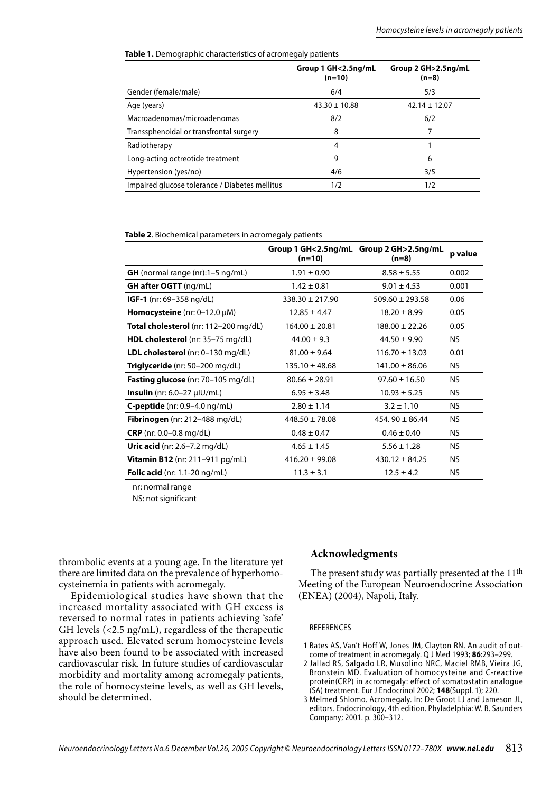**Table 1.** Demographic characteristics of acromegaly patients

|                                                | Group 1 GH<2.5ng/mL<br>$(n=10)$ | Group 2 GH>2.5ng/mL<br>$(n=8)$ |
|------------------------------------------------|---------------------------------|--------------------------------|
| Gender (female/male)                           | 6/4                             | 5/3                            |
| Age (years)                                    | $43.30 \pm 10.88$               | $42.14 \pm 12.07$              |
| Macroadenomas/microadenomas                    | 8/2                             | 6/2                            |
| Transsphenoidal or transfrontal surgery        | 8                               |                                |
| Radiotherapy                                   | $\overline{4}$                  |                                |
| Long-acting octreotide treatment               | 9                               | 6                              |
| Hypertension (yes/no)                          | 4/6                             | 3/5                            |
| Impaired glucose tolerance / Diabetes mellitus | 1/2                             | 1/2                            |

**Table 2**. Biochemical parameters in acromegaly patients

|                                           | $(n=10)$            | Group 1 GH<2.5ng/mL Group 2 GH>2.5ng/mL<br>$(n=8)$ | p value   |
|-------------------------------------------|---------------------|----------------------------------------------------|-----------|
| <b>GH</b> (normal range $(nr):1-5$ ng/mL) | $1.91 \pm 0.90$     | $8.58 \pm 5.55$                                    | 0.002     |
| <b>GH after OGTT</b> (ng/mL)              | $1.42 \pm 0.81$     | $9.01 \pm 4.53$                                    | 0.001     |
| <b>IGF-1</b> (nr: 69–358 ng/dL)           | $338.30 \pm 217.90$ | $509.60 \pm 293.58$                                | 0.06      |
| <b>Homocysteine</b> (nr: $0-12.0 \mu M$ ) | $12.85 \pm 4.47$    | $18.20 \pm 8.99$                                   | 0.05      |
| Total cholesterol (nr: 112-200 mg/dL)     | $164.00 \pm 20.81$  | $188.00 \pm 22.26$                                 | 0.05      |
| HDL cholesterol (nr: 35-75 mg/dL)         | $44.00 \pm 9.3$     | $44.50 \pm 9.90$                                   | NS.       |
| LDL cholesterol (nr: 0-130 mg/dL)         | $81.00 \pm 9.64$    | $116.70 \pm 13.03$                                 | 0.01      |
| Triglyceride (nr: 50–200 mg/dL)           | $135.10 \pm 48.68$  | $141.00 \pm 86.06$                                 | NS.       |
| <b>Fasting glucose</b> (nr: 70-105 mg/dL) | $80.66 \pm 28.91$   | $97.60 \pm 16.50$                                  | NS.       |
| <b>Insulin</b> (nr: $6.0-27 \mu$ U/mL)    | $6.95 \pm 3.48$     | $10.93 \pm 5.25$                                   | NS.       |
| <b>C-peptide</b> (nr: $0.9-4.0$ ng/mL)    | $2.80 \pm 1.14$     | $3.2 \pm 1.10$                                     | NS.       |
| Fibrinogen (nr: 212-488 mg/dL)            | $448.50 \pm 78.08$  | 454.90 $\pm$ 86.44                                 | NS.       |
| <b>CRP</b> (nr: $0.0-0.8$ mg/dL)          | $0.48 \pm 0.47$     | $0.46 \pm 0.40$                                    | NS.       |
| Uric acid (nr: $2.6 - 7.2$ mg/dL)         | $4.65 \pm 1.45$     | $5.56 \pm 1.28$                                    | NS.       |
| <b>Vitamin B12</b> (nr: 211-911 $pq/mL$ ) | $416.20 \pm 99.08$  | $430.12 \pm 84.25$                                 | NS.       |
| <b>Folic acid</b> (nr: $1.1-20$ ng/mL)    | $11.3 \pm 3.1$      | $12.5 \pm 4.2$                                     | <b>NS</b> |

nr: normal range

NS: not significant

thrombolic events at a young age. In the literature yet there are limited data on the prevalence of hyperhomocysteinemia in patients with acromegaly.

Epidemiological studies have shown that the increased mortality associated with GH excess is reversed to normal rates in patients achieving 'safe' GH levels (<2.5 ng/mL), regardless of the therapeutic approach used. Elevated serum homocysteine levels have also been found to be associated with increased cardiovascular risk. In future studies of cardiovascular morbidity and mortality among acromegaly patients, the role of homocysteine levels, as well as GH levels, should be determined.

# **Acknowledgments**

The present study was partially presented at the 11<sup>th</sup> Meeting of the European Neuroendocrine Association (ENEA) (2004), Napoli, Italy.

#### REFERENCES

- 1 Bates AS, Van't Hoff W, Jones JM, Clayton RN. An audit of outcome of treatment in acromegaly. Q J Med 1993; **86**:293–299.
- 2 Jallad RS, Salgado LR, Musolino NRC, Maciel RMB, Vieira JG, Bronstein MD. Evaluation of homocysteine and C-reactive protein(CRP) in acromegaly: effect of somatostatin analogue (SA) treatment. Eur J Endocrinol 2002; **148**(Suppl. 1); 220.
- 3 Melmed Shlomo. Acromegaly. In: De Groot LJ and Jameson JL, editors. Endocrinology, 4th edition. Phyladelphia: W. B. Saunders Company; 2001. p. 300–312.